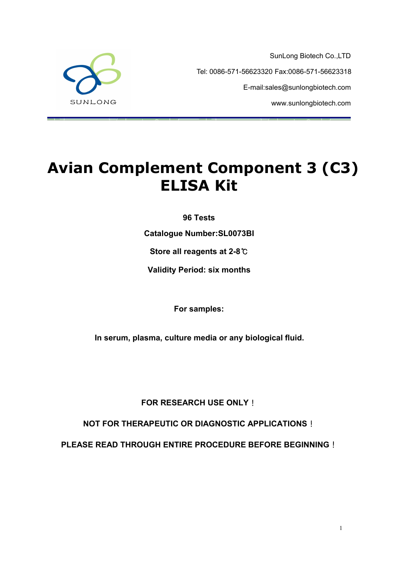SunLong Biotech Co.,LTD Tel: 0086-571-56623320 Fax:0086-571-56623318 E-mail:sales@sunlongbiotech.com www.sunlongbiotech.com



# **Avian Complement Component 3 (C3) ELISA Kit**

**96 Tests**

**Catalogue Number:SL0073BI**

**Store all reagents at 2-8**℃

**Validity Period: six months**

**For samples:**

**In serum, plasma, culture media or any biological fluid.**

**FOR RESEARCH USE ONLY**!

**NOT FOR THERAPEUTIC OR DIAGNOSTIC APPLICATIONS**!

**PLEASE READ THROUGH ENTIRE PROCEDURE BEFORE BEGINNING**!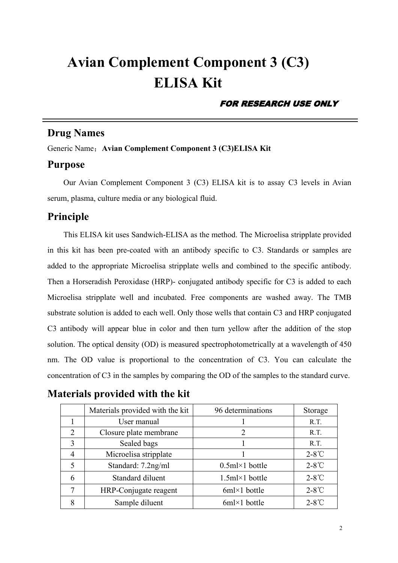# **Avian Complement Component 3 (C3) ELISA Kit**

#### FOR RESEARCH USE ONLY

# **Drug Names**

Generic Name:**Avian Complement Component 3 (C3)ELISA Kit**

#### **Purpose**

Our Avian Complement Component 3 (C3) ELISA kit is to assay C3 levels in Avian serum, plasma, culture media or any biological fluid.

### **Principle**

This ELISA kit uses Sandwich-ELISA as the method. The Microelisa stripplate provided in this kit has been pre-coated with an antibody specific to C3. Standards or samples are added to the appropriate Microelisa stripplate wells and combined to the specific antibody. Then a Horseradish Peroxidase (HRP)- conjugated antibody specific for C3 is added to each Microelisa stripplate well and incubated. Free components are washed away. The TMB substrate solution is added to each well. Only those wells that contain C3 and HRP conjugated C3 antibody will appear blue in color and then turn yellow after the addition of the stop solution. The optical density (OD) is measured spectrophotometrically at a wavelength of 450 nm. The OD value is proportional to the concentration of C3. You can calculate the concentration of C3 in the samples by comparing the OD of the samples to the standard curve.

|--|--|

|   | Materials provided with the kit | 96 determinations       | Storage         |
|---|---------------------------------|-------------------------|-----------------|
|   | User manual                     |                         | R.T.            |
| ↑ | Closure plate membrane          |                         | R.T.            |
|   | Sealed bags                     |                         | R.T.            |
|   | Microelisa stripplate           |                         | $2-8^{\circ}C$  |
|   | Standard: 7.2ng/ml              | $0.5$ ml×1 bottle       | $2-8^{\circ}$ C |
| 6 | Standard diluent                | $1.5ml \times 1$ bottle | $2-8^{\circ}$ C |
|   | HRP-Conjugate reagent           | $6m \times 1$ bottle    | $2-8^{\circ}$ C |
| 8 | Sample diluent                  | $6ml \times 1$ bottle   | $2-8^{\circ}C$  |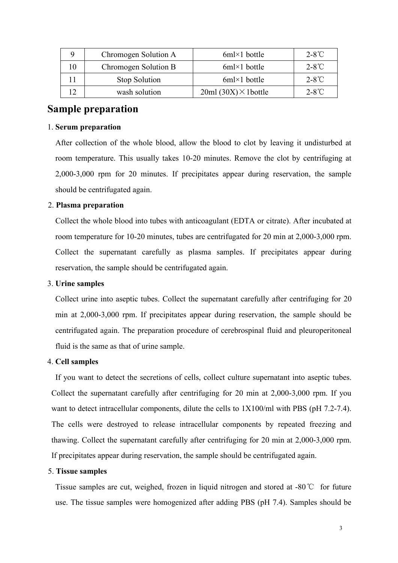|           | Chromogen Solution A | $6ml \times 1$ bottle        | $2-8^{\circ}$ C |
|-----------|----------------------|------------------------------|-----------------|
| 10        | Chromogen Solution B | $6ml \times 1$ bottle        | $2-8^{\circ}$ C |
|           | Stop Solution        | $6ml \times 1$ bottle        | $2-8^{\circ}$ C |
| ר ו<br>╹∠ | wash solution        | $20ml (30X) \times 1$ bottle | $2-8^{\circ}$ C |

## **Sample preparation**

#### 1. **Serum preparation**

After collection of the whole blood, allow the blood to clot by leaving it undisturbed at room temperature. This usually takes 10-20 minutes. Remove the clot by centrifuging at 2,000-3,000 rpm for 20 minutes. If precipitates appear during reservation, the sample should be centrifugated again.

#### 2. **Plasma preparation**

Collect the whole blood into tubes with anticoagulant (EDTA or citrate). After incubated at room temperature for 10-20 minutes, tubes are centrifugated for 20 min at 2,000-3,000 rpm. Collect the supernatant carefully as plasma samples. If precipitates appear during reservation, the sample should be centrifugated again.

#### 3. **Urine samples**

Collect urine into aseptic tubes. Collect the supernatant carefully after centrifuging for 20 min at 2,000-3,000 rpm. If precipitates appear during reservation, the sample should be centrifugated again. The preparation procedure of cerebrospinal fluid and pleuroperitoneal fluid is the same as that of urine sample.

#### 4. **Cell samples**

If you want to detect the secretions of cells, collect culture supernatant into aseptic tubes. Collect the supernatant carefully after centrifuging for 20 min at 2,000-3,000 rpm. If you want to detect intracellular components, dilute the cells to  $1X100/ml$  with PBS (pH 7.2-7.4). The cells were destroyed to release intracellular components by repeated freezing and thawing. Collect the supernatant carefully after centrifuging for 20 min at 2,000-3,000 rpm. If precipitates appear during reservation, the sample should be centrifugated again.

#### 5. **Tissue samples**

Tissue samples are cut, weighed, frozen in liquid nitrogen and stored at -80℃ for future use. The tissue samples were homogenized after adding PBS (pH 7.4). Samples should be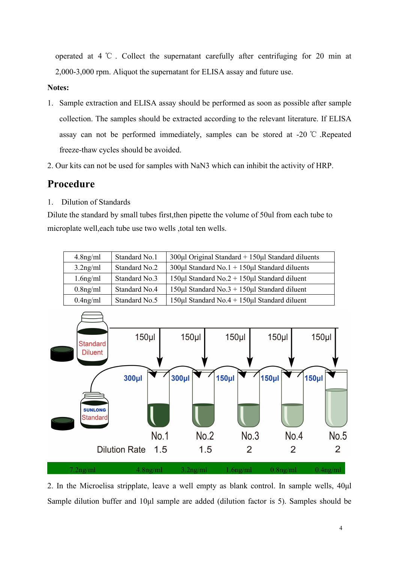operated at 4 ℃ . Collect the supernatant carefully after centrifuging for 20 min at 2,000-3,000 rpm. Aliquot the supernatant for ELISA assay and future use.

#### **Notes:**

- 1. Sample extraction and ELISA assay should be performed as soon as possible after sample collection. The samples should be extracted according to the relevant literature. If ELISA assay can not be performed immediately, samples can be stored at -20 ℃ .Repeated freeze-thaw cycles should be avoided.2. Our kits can not be used for samples with NaN3 which can inhibit the activity of HRP.
- 

# **Procedure**

1. Dilution of Standards

Dilute the standard by small tubes first,then pipette the volume of 50ul from each tube to microplate well, each tube use two wells, total ten wells.

| $4.8$ ng/ml | Standard No.1 | $300\mu$ l Original Standard + $150\mu$ l Standard diluents |
|-------------|---------------|-------------------------------------------------------------|
| $3.2$ ng/ml | Standard No.2 | $300\mu$ l Standard No.1 + 150 $\mu$ l Standard diluents    |
| $1.6$ ng/ml | Standard No.3 | $150\mu$ I Standard No.2 + 150 $\mu$ I Standard diluent     |
| $0.8$ ng/ml | Standard No.4 | $150\mu$ I Standard No.3 + 150 $\mu$ I Standard diluent     |
| $0.4$ ng/ml | Standard No.5 | $150\mu$ I Standard No.4 + $150\mu$ I Standard diluent      |



2. In the Microelisa stripplate, leave a well empty as blank control. In sample wells, 40μl Sample dilution buffer and 10ul sample are added (dilution factor is 5). Samples should be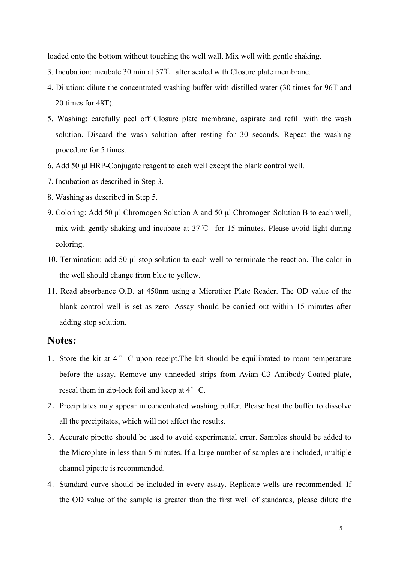loaded onto the bottom without touching the well wall. Mix well with gentle shaking.

- 3. Incubation: incubate 30 min at 37℃ after sealed with Closure plate membrane.
- 4. Dilution: dilute the concentrated washing buffer with distilled water (30 times for 96T and 20 times for 48T).
- 5. Washing: carefully peel off Closure plate membrane, aspirate and refill with the wash solution. Discard the wash solution after resting for 30 seconds. Repeat the washing procedure for 5 times.
- 6. Add 50 μl HRP-Conjugate reagent to each well except the blank control well.
- 7. Incubation as described in Step 3.
- 8. Washing as described in Step 5.
- 9. Coloring: Add 50 μl Chromogen Solution A and 50 μl Chromogen Solution B to each well, mix with gently shaking and incubate at 37℃ for 15 minutes. Please avoid light during coloring.
- 10. Termination: add 50 μl stop solution to each well to terminate the reaction. The color in the well should change from blue to yellow.
- 11. Read absorbance O.D. at 450nm using a Microtiter Plate Reader. The OD value of the blank control well is set as zero. Assay should be carried out within 15 minutes after adding stop solution.

#### **Notes:**

- 1. Store the kit at 4 ° C upon receipt. The kit should be equilibrated to room temperature before the assay. Remove any unneeded strips from Avian C3 Antibody-Coated plate, reseal them in zip-lock foil and keep at  $4^{\circ}$  C.
- 2. Precipitates may appear in concentrated washing buffer. Please heat the buffer to dissolve all the precipitates, which will not affect the results.
- 3.Accurate pipette should be used to avoid experimental error. Samples should be added to the Microplate in less than 5 minutes. If a large number of samples are included, multiple channel pipette is recommended.
- 4.Standard curve should be included in every assay. Replicate wells are recommended. If the OD value of the sample is greater than the first well of standards, please dilute the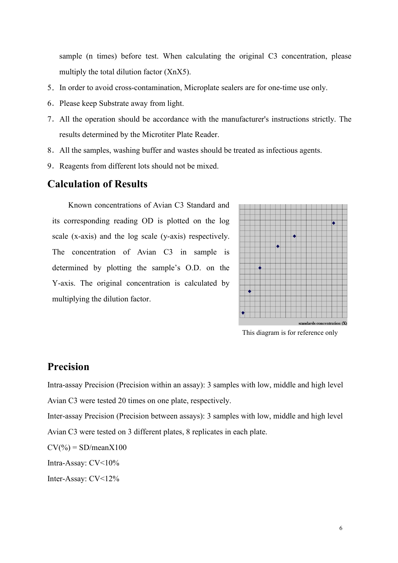sample (n times) before test. When calculating the original C3 concentration, please multiply the total dilution factor (XnX5).

- 5.In order to avoid cross-contamination, Microplate sealers are for one-time use only.
- 6.Please keep Substrate away from light.
- 7.All the operation should be accordance with the manufacturer's instructions strictly. The results determined by the Microtiter Plate Reader.
- 8.All the samples,washing buffer and wastes should be treated as infectious agents.
- 9.Reagents from different lots should not be mixed.

### **Calculation of Results**

Known concentrations of Avian C3 Standard and its corresponding reading OD is plotted on the log scale (x-axis) and the log scale (y-axis) respectively. The concentration of Avian C3 in sample is determined by plotting the sample's O.D. on the Y-axis. The original concentration is calculated by multiplying the dilution factor.



This diagram is for reference only

## **Precision**

Intra-assay Precision (Precision within an assay): 3 samples with low, middle and high level Avian C3 were tested 20 times on one plate, respectively.

Inter-assay Precision (Precision between assays): 3 samples with low, middle and high level Avian C3 were tested on 3 different plates, 8 replicates in each plate.

 $CV(\% ) = SD/meanX100$ 

Intra-Assay: CV<10%

Inter-Assay: CV<12%